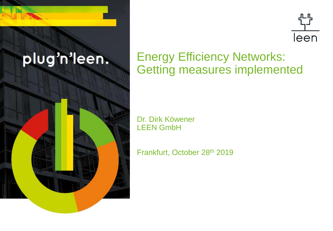



### Energy Efficiency Networks: Getting measures implemented

Dr. Dirk Köwener LEEN GmbH

Frankfurt, October 28th 2019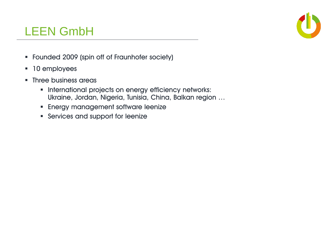#### LEEN GmbH

- Founded 2009 (spin off of Fraunhofer society)
- **10 employees**
- Three business areas
	- **International projects on energy efficiency networks:** Ukraine, Jordan, Nigeria, Tunisia, China, Balkan region …
	- **Energy management software leenize**
	- **Services and support for leenize**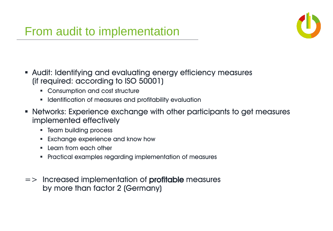

- Audit: Identifying and evaluating energy efficiency measures (if required: according to ISO 50001)
	- **EXECONSUMPTION AND COST STRUCTURE**
	- **IDENTIFICATE:** Identification of measures and profitability evaluation
- Networks: Experience exchange with other participants to get measures implemented effectively
	- **F** Team building process
	- **Exchange experience and know how**
	- $\blacksquare$  Learn from each other
	- Practical examples regarding implementation of measures
- $\Rightarrow$  Increased implementation of **profitable** measures by more than factor 2 (Germany)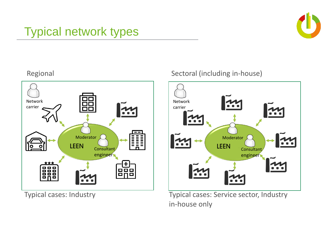## Typical network types





Regional **Sectoral (including in-house)** 



Typical cases: Industry Typical cases: Service sector, Industry in-house only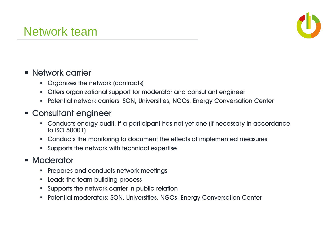

#### Network carrier

- **Organizes the network (contracts)**
- Offers organizational support for moderator and consultant engineer
- Potential network carriers: SON, Universities, NGOs, Energy Conversation Center

#### Consultant engineer

- Conducts energy audit, if a participant has not yet one (if necessary in accordance to ISO 50001)
- Conducts the monitoring to document the effects of implemented measures
- Supports the network with technical expertise

#### **Moderator**

- **Prepares and conducts network meetings**
- **Example 1 Leads the team building process**
- **Supports the network carrier in public relation**
- Potential moderators: SON, Universities, NGOs, Energy Conversation Center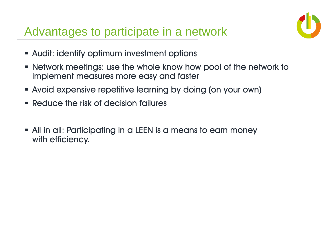### Advantages to participate in a network



- Audit: identify optimum investment options
- Network meetings: use the whole know how pool of the network to implement measures more easy and faster
- Avoid expensive repetitive learning by doing (on your own)
- Reduce the risk of decision failures
- All in all: Participating in a LEEN is a means to earn money with efficiency.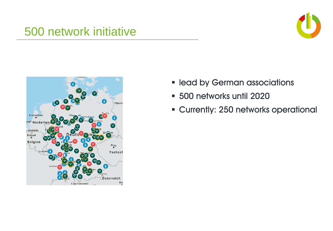#### 500 network initiative





- **lead by German associations**
- **500 networks until 2020**
- Currently: 250 networks operational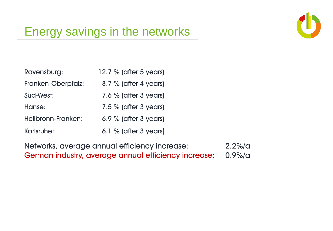

## Energy savings in the networks

| Ravensburg:        | 12.7 % (after 5 years)  |
|--------------------|-------------------------|
| Franken-Oberpfalz: | 8.7 % (after 4 years)   |
| Süd-West:          | 7.6 % (after $3$ years) |
| Hanse:             | $7.5\%$ (after 3 years) |
| Heilbronn-Franken: | 6.9 % (after $3$ years) |
| Karlsruhe:         | 6.1 % (after $3$ years) |

Networks, average annual efficiency increase: 2.2%/a German industry, average annual efficiency increase: 0.9%/a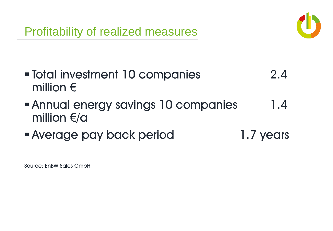

- Total investment 10 companies 2.4 million €
- Annual energy savings 10 companies 1.4 million €/a
- Average pay back period 1.7 years

Source: EnBW Sales GmbH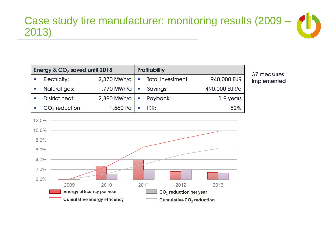#### Case study tire manufacturer: monitoring results (2009 – 2013)

| Energy & $CO2$ saved until 2013 |             |  | <b>Profitability</b> |               |
|---------------------------------|-------------|--|----------------------|---------------|
| <b>Electricity:</b>             | 2,370 MWh/a |  | Total investment:    | 940,000 EUR   |
| Natural gas:                    | 1,770 MWh/a |  | Savings:             | 490,000 EUR/a |
| <b>District heat:</b>           | 2,890 MWh/a |  | Payback:             | 1.9 years     |
| $CO2$ reduction:                | 1,560 t/a   |  | IRR:                 | 52%           |

37 measures implemented

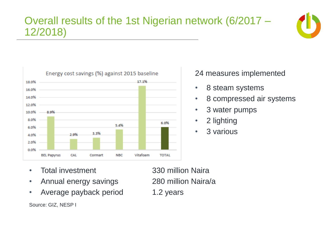#### Overall results of the 1st Nigerian network (6/2017 – 12/2018)





#### 24 measures implemented

- 8 steam systems
- 8 compressed air systems
- 3 water pumps
- 2 lighting
- 3 various

- Total investment 330 million Naira
- Annual energy savings 280 million Naira/a
- Average payback period 1.2 years

Source: GIZ, NESP I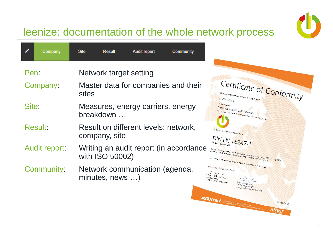

#### leenize: documentation of the whole network process

|       | Company              | <b>Site</b><br>Result<br>Audit report<br><b>Community</b>                                                                                                                                                                                                                                                                                                                                                                                                                                     |
|-------|----------------------|-----------------------------------------------------------------------------------------------------------------------------------------------------------------------------------------------------------------------------------------------------------------------------------------------------------------------------------------------------------------------------------------------------------------------------------------------------------------------------------------------|
| Pen:  |                      | Network target setting                                                                                                                                                                                                                                                                                                                                                                                                                                                                        |
|       | Company:             | Certificate of Conformity<br>Master data for companies and their<br>sites<br>Within a conformity assessment the organisation<br>Leen GmbH                                                                                                                                                                                                                                                                                                                                                     |
| Site: |                      | at the location<br>Measures, energy carriers, energy<br>Schönfeldstraße 8, 76131 Karlsruhe<br>has proven that the online solution "leenize", version 2.1.0<br>breakdown                                                                                                                                                                                                                                                                                                                       |
|       | <b>Result:</b>       | Result on different levels: network,<br>supports the reporting according to<br>company, site<br>DIN EN 16247-1                                                                                                                                                                                                                                                                                                                                                                                |
|       | <b>Audit report:</b> | Writing an audit report (in accordance<br>taking into account the "BAFA-Merkblatt" on energy audits dated 28 <sup>th</sup> of June 2019<br>And the BAFA-I eittaden" on energy audits dated 26 <sup>th</sup> of <sup>8</sup> une 2019<br>taking into account the "bara-miericolatt" on energy audits dated 26".<br>and the "BAFA-Leitfaden" on energy audits dated 26" of June 2019.<br>with ISO 50002)<br>The results of the audit are listed in detail in the report $N^{\circ}$ i-19-23738. |
|       | Community:           | Berlin, 12th of September 2019<br>Network communication (agenda,<br>$minutes, news \ldots)$<br>Andreas Lemke<br>Head of Certification Body<br>Lead auditor ISO 50001                                                                                                                                                                                                                                                                                                                          |
|       |                      | nergy auditor according BAFA<br><b>PAGUTCET</b> Entertainments to a 1243 Bellin - Garmany Hyundezen de<br>Nº   19-23738<br>alnor                                                                                                                                                                                                                                                                                                                                                              |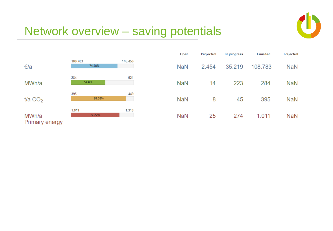

### Network overview – saving potentials



| Open       | Projected | In progress | <b>Finished</b> | Rejected   |
|------------|-----------|-------------|-----------------|------------|
| <b>NaN</b> | 2.454     | 35.219      | 108.783         | <b>NaN</b> |
| <b>NaN</b> | 14        | 223         | 284             | NaN        |
| <b>NaN</b> | 8         | 45          | 395             | <b>NaN</b> |
| <b>NaN</b> | 25        | 274         | 1.011           | <b>NaN</b> |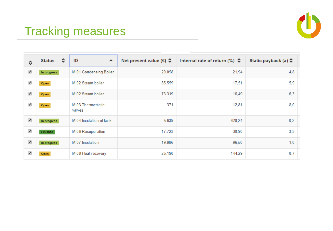

## Tracking measures

| ≎                    | ≎<br><b>Status</b> | ID<br>$\hat{\phantom{a}}$   | Net present value ( $\epsilon$ ) $\hat{\varphi}$ | Internal rate of return $(\%)$ | Static payback (a) $\hat{\phi}$ |
|----------------------|--------------------|-----------------------------|--------------------------------------------------|--------------------------------|---------------------------------|
| $\blacktriangledown$ | In progress        | M 01 Condensing Boiler      | 20.058                                           | 21,94                          | 4,8                             |
| ✔                    | Open               | M 02 Steam boiler           | 85.559                                           | 17,51                          | 5,9                             |
| ✔                    | Open               | M 02 Steam boiler           | 73.319                                           | 16,49                          | 6,3                             |
| ✔                    | Open               | M 03 Thermostatic<br>valves | 371                                              | 12,81                          | 8,0                             |
| $\blacktriangledown$ | In progress        | M 04 Insulation of tank     | 5.639                                            | 620,24                         | 0,2                             |
| $\blacktriangledown$ | Finished           | M 06 Recuperation           | 17.723                                           | 30,90                          | 3,3                             |
| $\blacktriangledown$ | In progress        | M 07 Insulation             | 19.986                                           | 96,50                          | 1,0                             |
| ✔                    | Open               | M 08 Heat recovery          | 25.190                                           | 144,29                         | 0,7                             |